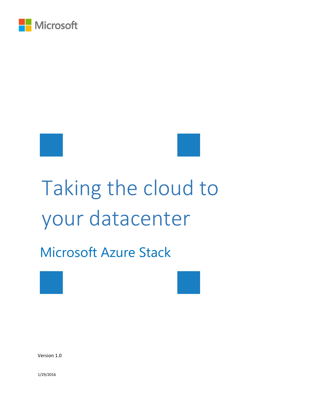

# Taking the cloud to your datacenter

## Microsoft Azure Stack





Version 1.0

1/29/2016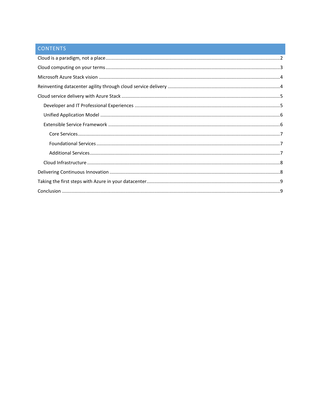### CONTENTS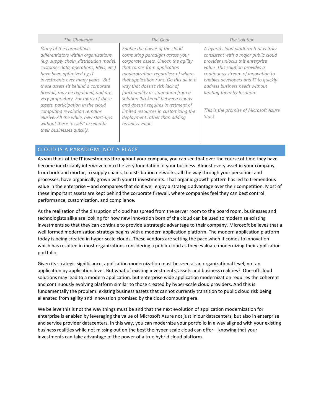#### *The Challenge The Goal The Solution Many of the competitive differentiators within organizations (e.g. supply chain, distribution model, customer data, operations, R&D, etc.) have been optimized by IT investments over many years. But these assets sit behind a corporate firewall, may be regulated, and are very proprietary. For many of these assets, participation in the cloud computing revolution remains elusive. All the while, new start-ups without these "assets" accelerate their businesses quickly. Enable the power of the cloud computing paradigm across your corporate assets. Unlock the agility that comes from application modernization, regardless of where that application runs. Do this all in a way that doesn't risk lack of functionality or stagnation from a solution 'brokered' between clouds and doesn't requires investment of limited resources in customizing the deployment rather than adding business value. A hybrid cloud platform that is truly consistent with a major public cloud provider unlocks this enterprise value. This solution provides a continuous stream of innovation to enables developers and IT to quickly address business needs without limiting them by location. This is the promise of Microsoft Azure Stack.*

#### <span id="page-2-0"></span>CLOUD IS A PARADIGM, NOT A PLACE

As you think of the IT investments throughout your company, you can see that over the course of time they have become inextricably interwoven into the very foundation of your business. Almost every asset in your company, from brick and mortar, to supply chains, to distribution networks, all the way through your personnel and processes, have organically grown with your IT investments. That organic growth pattern has led to tremendous value in the enterprise – and companies that do it well enjoy a strategic advantage over their competition. Most of these important assets are kept behind the corporate firewall, where companies feel they can best control performance, customization, and compliance.

As the realization of the disruption of cloud has spread from the server room to the board room, businesses and technologists alike are looking for how new innovation born of the cloud can be used to modernize existing investments so that they can continue to provide a strategic advantage to their company. Microsoft believes that a well formed modernization strategy begins with a modern application platform. The modern application platform today is being created in hyper-scale clouds. These vendors are setting the pace when it comes to innovation which has resulted in most organizations considering a public cloud as they evaluate modernizing their application portfolio.

Given its strategic significance, application modernization must be seen at an organizational level, not an application by application level. But what of existing investments, assets and business realities? One-off cloud solutions may lead to a modern application, but enterprise wide application modernization requires the coherent and continuously evolving platform similar to those created by hyper-scale cloud providers. And this is fundamentally the problem: existing business assets that cannot currently transition to public cloud risk being alienated from agility and innovation promised by the cloud computing era.

We believe this is not the way things must be and that the next evolution of application modernization for enterprise is enabled by leveraging the value of Microsoft Azure not just in our datacenters, but also in enterprise and service provider datacenters. In this way, you can modernize your portfolio in a way aligned with your existing business realities while not missing out on the best the hyper-scale cloud can offer – knowing that your investments can take advantage of the power of a true hybrid cloud platform.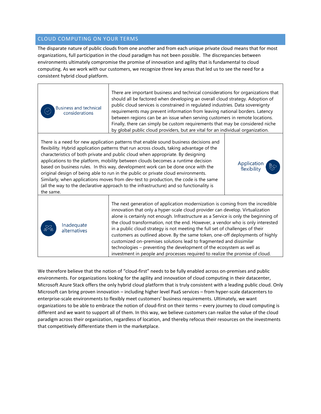#### <span id="page-3-0"></span>CLOUD COMPUTING ON YOUR TERMS

The disparate nature of public clouds from one another and from each unique private cloud means that for most organizations, full participation in the cloud paradigm has not been possible. The discrepancies between environments ultimately compromise the promise of innovation and agility that is fundamental to cloud computing. As we work with our customers, we recognize three key areas that led us to see the need for a consistent hybrid cloud platform.

**Business and technical** considerations

There are important business and technical considerations for organizations that should all be factored when developing an overall cloud strategy. Adoption of public cloud services is constrained in regulated industries. Data sovereignty requirements may prevent information from leaving national borders. Latency between regions can be an issue when serving customers in remote locations. Finally, there can simply be custom requirements that may be considered niche by global public cloud providers, but are vital for an individual organization.

> Application flexibility

There is a need for new application patterns that enable sound business decisions and flexibility. Hybrid application patterns that run across clouds, taking advantage of the characteristics of both private and public cloud when appropriate. By designing applications to the platform, mobility between clouds becomes a runtime decision based on business rules. In this way, development work can be done once with the original design of being able to run in the public or private cloud environments. Similarly, when applications moves from dev-test to production, the code is the same (all the way to the declarative approach to the infrastructure) and so functionality is the same.

> Inadequate alternatives

The next generation of application modernization is coming from the incredible innovation that only a hyper-scale cloud provider can develop. Virtualization alone is certainly not enough. Infrastructure as a Service is only the beginning of the cloud transformation, not the end. However, a vendor who is only interested in a public cloud strategy is not meeting the full set of challenges of their customers as outlined above. By the same token, one-off deployments of highly customized on-premises solutions lead to fragmented and dissimilar technologies – preventing the development of the ecosystem as well as investment in people and processes required to realize the promise of cloud.

We therefore believe that the notion of "cloud-first" needs to be fully enabled across on-premises and public environments. For organizations looking for the agility and innovation of cloud computing in their datacenter, Microsoft Azure Stack offers the only hybrid cloud platform that is truly consistent with a leading public cloud. Only Microsoft can bring proven innovation – including higher level PaaS services – from hyper-scale datacenters to enterprise-scale environments to flexibly meet customers' business requirements. Ultimately, we want organizations to be able to embrace the notion of cloud-first on their terms – every journey to cloud computing is different and we want to support all of them. In this way, we believe customers can realize the value of the cloud paradigm across their organization, regardless of location, and thereby refocus their resources on the investments that competitively differentiate them in the marketplace.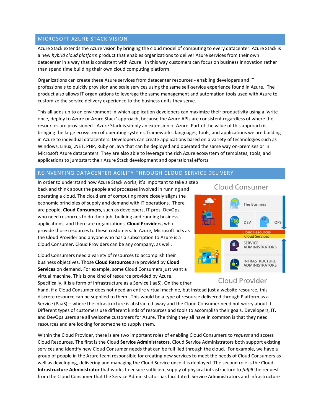#### <span id="page-4-0"></span>MICROSOFT AZURE STACK VISION

Azure Stack extends the Azure vision by bringing the cloud model of computing to every datacenter. Azure Stack is a new *hybrid cloud platform* product that enables organizations to deliver Azure services from their own datacenter in a way that is consistent with Azure. In this way customers can focus on business innovation rather than spend time building their own cloud computing platform.

Organizations can create these Azure services from datacenter resources - enabling developers and IT professionals to quickly provision and scale services using the same self-service experience found in Azure. The product also allows IT organizations to leverage the same management and automation tools used with Azure to customize the service delivery experience to the business units they serve.

This all adds up to an environment in which application developers can maximize their productivity using a 'write once, deploy to Azure or Azure Stack' approach, because the Azure APIs are consistent regardless of where the resources are provisioned - Azure Stack is simply an extension of Azure. Part of the value of this approach is bringing the large ecosystem of operating systems, frameworks, languages, tools, and applications we are building in Azure to individual datacenters. Developers can create applications based on a variety of technologies such as Windows, Linux, .NET, PHP, Ruby or Java that can be deployed and operated the same way on-premises or in Microsoft Azure datacenters. They are also able to leverage the rich Azure ecosystem of templates, tools, and applications to jumpstart their Azure Stack development and operational efforts.

#### <span id="page-4-1"></span>REINVENTING DATACENTER AGILITY THROUGH CLOUD SERVICE DELIVERY

In order to understand how Azure Stack works, it's important to take a step back and think about the people and processes involved in running and operating a cloud. The cloud era of computing more closely aligns the economic principles of supply and demand with IT operations. There are people, **Cloud Consumers**, such as developers, IT pros, DevOps, who need resources to do their job, building and running business applications, and there are organizations, **Cloud Providers,** who provide those resources to these customers. In Azure, Microsoft acts as the Cloud Provider and anyone who has a subscription to Azure is a Cloud Consumer. Cloud Providers can be any company, as well.

Cloud Consumers need a variety of resources to accomplish their business objectives. Those **Cloud Resources** are provided by **Cloud Services** on demand. For example, some Cloud Consumers just want a virtual machine. This is one kind of resource provided by Azure.

Specifically, it is a form of Infrastructure as a Service (IaaS). On the other

#### Cloud Consumer



#### Cloud Provider

hand, if a Cloud Consumer does not need an entire virtual machine, but instead just a website resource, this discrete resource can be supplied to them. This would be a type of resource delivered through Platform as a Service (PaaS) – where the infrastructure is abstracted away and the Cloud Consumer need not worry about it. Different types of customers use different kinds of resources and tools to accomplish their goals. Developers, IT, and DevOps users are all welcome customers for Azure. The thing they all have in common is that they need resources and are looking for someone to supply them.

Within the Cloud Provider, there is are two important roles of enabling Cloud Consumers to *request* and access Cloud Resources. The first is the Cloud **Service Administrators**. Cloud Service Administrators both support existing services and identify new Cloud Consumer needs that can be fulfilled through the cloud. For example, we have a group of people in the Azure team responsible for creating new services to meet the needs of Cloud Consumers as well as developing, delivering and managing the Cloud Service once it is deployed. The second role is the Cloud **Infrastructure Administrator** that works to ensure sufficient supply of physical infrastructure to *fulfill* the request from the Cloud Consumer that the Service Administrator has facilitated. Service Administrators and Infrastructure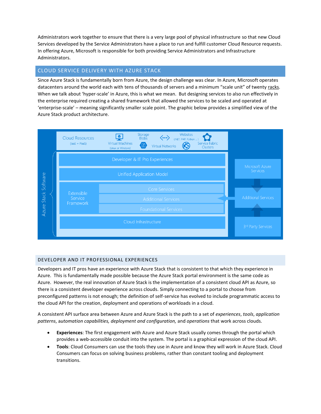Administrators work together to ensure that there is a very large pool of physical infrastructure so that new Cloud Services developed by the Service Administrators have a place to run and fulfill customer Cloud Resource requests. In offering Azure, Microsoft is responsible for both providing Service Administrators and Infrastructure Administrators.

#### <span id="page-5-0"></span>CLOUD SERVICE DELIVERY WITH AZURE STACK

Since Azure Stack is fundamentally born from Azure, the design challenge was clear. In Azure, Microsoft operates datacenters around the world each with tens of thousands of servers and a minimum "scale unit" of twenty racks. When we talk about 'hyper-scale' in Azure, this is what we mean. But designing services to also run effectively in the enterprise required creating a shared framework that allowed the services to be scaled and operated at 'enterprise-scale' – meaning significantly smaller scale point. The graphic below provides a simplified view of the Azure Stack product architecture.



#### <span id="page-5-1"></span>DEVELOPER AND IT PROFESSIONAL EXPERIENCES

Developers and IT pros have an experience with Azure Stack that is consistent to that which they experience in Azure. This is fundamentally made possible because the Azure Stack portal environment is the same code as Azure. However, the real innovation of Azure Stack is the implementation of a consistent cloud API as Azure, so there is a consistent developer experience across clouds. Simply connecting to a portal to choose from preconfigured patterns is not enough; the definition of self-service has evolved to include programmatic access to the cloud API for the creation, deployment and operations of workloads in a cloud.

A consistent API surface area between Azure and Azure Stack is the path to a set of *experiences*, *tools*, *application patterns*, a*utomation capabilities, deployment and configuration,* and *operations* that work across clouds.

- **Experiences**: The first engagement with Azure and Azure Stack usually comes through the portal which provides a web-accessible conduit into the system. The portal is a graphical expression of the cloud API.
- **Tools**: Cloud Consumers can use the tools they use in Azure and know they will work in Azure Stack. Cloud Consumers can focus on solving business problems, rather than constant tooling and deployment transitions.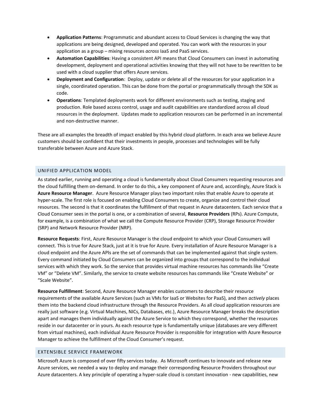- **Application Patterns**: Programmatic and abundant access to Cloud Services is changing the way that applications are being designed, developed and operated. You can work with the resources in your application as a group – mixing resources *across* IaaS and PaaS services.
- **Automation Capabilities**: Having a consistent API means that Cloud Consumers can invest in automating development, deployment and operational activities knowing that they will not have to be rewritten to be used with a cloud supplier that offers Azure services.
- **Deployment and Configuration**: Deploy, update or delete all of the resources for your application in a single, coordinated operation. This can be done from the portal or programmatically through the SDK as code.
- **Operations**: Templated deployments work for different environments such as testing, staging and production. Role based access control, usage and audit capabilities are standardized across all cloud resources in the deployment. Updates made to application resources can be performed in an incremental and non-destructive manner.

These are all examples the breadth of impact enabled by this hybrid cloud platform. In each area we believe Azure customers should be confident that their investments in people, processes and technologies will be fully transferable between Azure and Azure Stack.

#### <span id="page-6-0"></span>UNIFIED APPLICATION MODEL

As stated earlier, running and operating a cloud is fundamentally about Cloud Consumers requesting resources and the cloud fulfilling them on-demand. In order to do this, a key component of Azure and, accordingly, Azure Stack is **Azure Resource Manager**. Azure Resource Manager plays two important roles that enable Azure to operate at hyper-scale. The first role is focused on enabling Cloud Consumers to create, organize and control their cloud resources. The second is that it coordinates the fulfillment of that request in Azure datacenters. Each service that a Cloud Consumer sees in the portal is one, or a combination of several, **Resource Providers** (RPs). Azure Compute, for example, is a combination of what we call the Compute Resource Provider (CRP), Storage Resource Provider (SRP) and Network Resource Provider (NRP).

**Resource Requests**: First, Azure Resource Manager is the cloud endpoint to which your Cloud Consumers will connect. This is true for Azure Stack, just at it is true for Azure. Every installation of Azure Resource Manager is a cloud endpoint and the Azure APIs are the set of commands that can be implemented against that single system. Every command initiated by Cloud Consumers can be organized into groups that correspond to the individual services with which they work. So the service that provides virtual machine resources has commands like "Create VM" or "Delete VM". Similarly, the service to create website resources has commands like "Create Website" or "Scale Website".

**Resource Fulfillment**: Second, Azure Resource Manager enables customers to describe their resource requirements of the available Azure Services (such as VMs for IaaS or Websites for PaaS), and then *actively* places them into the backend cloud infrastructure through the Resource Providers. As all cloud application resources are really just software (e.g. Virtual Machines, NICs, Databases, etc.), Azure Resource Manager breaks the description apart and manages them individually against the Azure Service to which they correspond, whether the resources reside in our datacenter or in yours. As each resource type is fundamentally unique (databases are very different from virtual machines), each individual Azure Resource Provider is responsible for integration with Azure Resource Manager to achieve the fulfillment of the Cloud Consumer's request.

#### <span id="page-6-1"></span>EXTENSIBLE SERVICE FRAMEWORK

Microsoft Azure is composed of over fifty services today. As Microsoft continues to innovate and release new Azure services, we needed a way to deploy and manage their corresponding Resource Providers throughout our Azure datacenters. A key principle of operating a hyper-scale cloud is constant innovation - new capabilities, new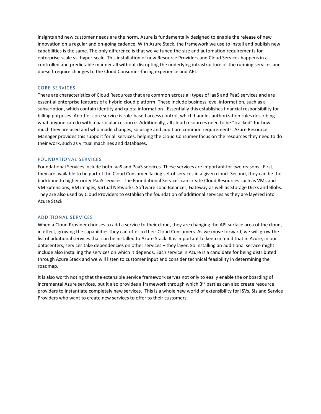insights and new customer needs are the norm. Azure is fundamentally designed to enable the release of new innovation on a regular and on-going cadence. With Azure Stack, the framework we use to install and publish new capabilities is the same. The only difference is that we've tuned the size and automation requirements for enterprise-scale vs. hyper-scale. This installation of new Resource Providers and Cloud Services happens in a controlled and predictable manner all without disrupting the underlying infrastructure or the running services and doesn't require changes to the Cloud Consumer-facing experience and API.

#### <span id="page-7-0"></span>CORE SERVICES

There are characteristics of Cloud Resources that are common across all types of IaaS and PaaS services and are essential enterprise features of a hybrid cloud platform. These include business level information, such as a subscription, which contain identity and quota information. Essentially this establishes financial responsibility for billing purposes. Another core service is role-based access control, which handles authorization rules describing what anyone can do with a particular resource. Additionally, all cloud resources need to be "tracked" for how much they are used and who made changes, so usage and audit are common requirements. Azure Resource Manager provides this support for all services, helping the Cloud Consumer focus on the resources they need to do their work, such as virtual machines and databases.

#### <span id="page-7-1"></span>FOUNDATIONAL SERVICES

Foundational Services include both IaaS and PaaS services. These services are important for two reasons. First, they are available to be part of the Cloud Consumer-facing set of services in a given cloud. Second, they can be the backbone to higher order PaaS services. The Foundational Services can create Cloud Resources such as VMs and VM Extensions, VM images, Virtual Networks, Software Load Balancer, Gateway as well as Storage Disks and Blobs. They are also used by Cloud Providers to establish the foundation of additional services as they are layered into Azure Stack.

#### <span id="page-7-2"></span>ADDITIONAL SERVICES

When a Cloud Provider chooses to add a service to their cloud, they are changing the API surface area of the cloud, in effect, growing the capabilities they can offer to their Cloud Consumers. As we move forward, we will grow the list of additional services that can be installed to Azure Stack. It is important to keep in mind that in Azure, in our datacenters, services take dependencies on other services – they layer. So installing an additional service might include also installing the services on which it depends. Each service in Azure is a candidate for being distributed through Azure Stack and we will listen to customer input and consider technical feasibility in determining the roadmap.

It is also worth noting that the extensible service framework serves not only to easily enable the onboarding of incremental Azure services, but it also provides a framework through which  $3^{rd}$  parties can also create resource providers to instantiate completely new services. This is a whole new world of extensibility for ISVs, SIs and Service Providers who want to create new services to offer to their customers.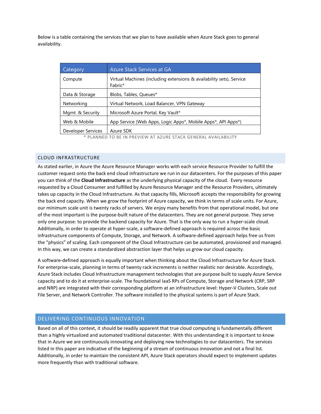Below is a table containing the services that we plan to have available when Azure Stack goes to general availability.

| Category                                                        | Azure Stack Services at GA                                                      |
|-----------------------------------------------------------------|---------------------------------------------------------------------------------|
| Compute                                                         | Virtual Machines (including extensions & availability sets), Service<br>Fabric* |
| Data & Storage                                                  | Blobs, Tables, Queues*                                                          |
| Networking                                                      | Virtual Network, Load Balancer, VPN Gateway                                     |
| Mgmt. & Security                                                | Microsoft Azure Portal, Key Vault*                                              |
| Web & Mobile                                                    | App Service (Web Apps, Logic Apps*, Mobile Apps*, API Apps*)                    |
| Developer Services                                              | Azure SDK                                                                       |
| * DIANNEN TO DE IN DDEVIEW AT AZIIDE CTACK CENEDAI AVAILADILITY |                                                                                 |

PLANNED TO BE IN PREVIEW AT AZURE STACK GENERAL AVAILABILITY

#### <span id="page-8-0"></span>CLOUD INFRASTRUCTURE

As stated earlier, in Azure the Azure Resource Manager works with each service Resource Provider to fulfill the customer request onto the back end cloud infrastructure we run in our datacenters. For the purposes of this paper you can think of the **Cloud Infrastructure** as the underlying physical capacity of the cloud. Every resource requested by a Cloud Consumer and fulfilled by Azure Resource Manager and the Resource Providers, ultimately takes up capacity in the Cloud Infrastructure. As that capacity fills, Microsoft accepts the responsibility for growing the back end capacity. When we grow the footprint of Azure capacity, we think in terms of scale units. For Azure, our minimum scale unit is twenty racks of servers. We enjoy many benefits from that operational model, but one of the most important is the purpose-built nature of the datacenters. They are not general purpose. They serve only one purpose: to provide the backend capacity for Azure. That is the only way to run a hyper-scale cloud. Additionally, in order to operate at hyper-scale, a software-defined approach is required across the basic infrastructure components of Compute, Storage, and Network. A software-defined approach helps free us from the "physics" of scaling. Each component of the Cloud Infrastructure can be automated, provisioned and managed. In this way, we can create a standardized abstraction layer that helps us grow our cloud capacity.

A software-defined approach is equally important when thinking about the Cloud Infrastructure for Azure Stack. For enterprise-scale, planning in terms of twenty rack increments is neither realistic nor desirable. Accordingly, Azure Stack includes Cloud Infrastructure management technologies that are purpose built to supply Azure Service capacity and to do it at enterprise-scale. The foundational IaaS RPs of Compute, Storage and Network (CRP, SRP and NRP) are integrated with their corresponding platform at an infrastructure level: Hyper-V Clusters, Scale out File Server, and Network Controller. The software installed to the physical systems is part of Azure Stack.

#### <span id="page-8-1"></span>DELIVERING CONTINUOUS INNOVATION

Based on all of this context, it should be readily apparent that true cloud computing is fundamentally different than a highly virtualized and automated traditional datacenter. With this understanding it is important to know that in Azure we are continuously innovating and deploying new technologies to our datacenters. The services listed in this paper are indicative of the beginning of a stream of continuous innovation and not a final list. Additionally, in order to maintain the consistent API, Azure Stack operators should expect to implement updates more frequently than with traditional software.